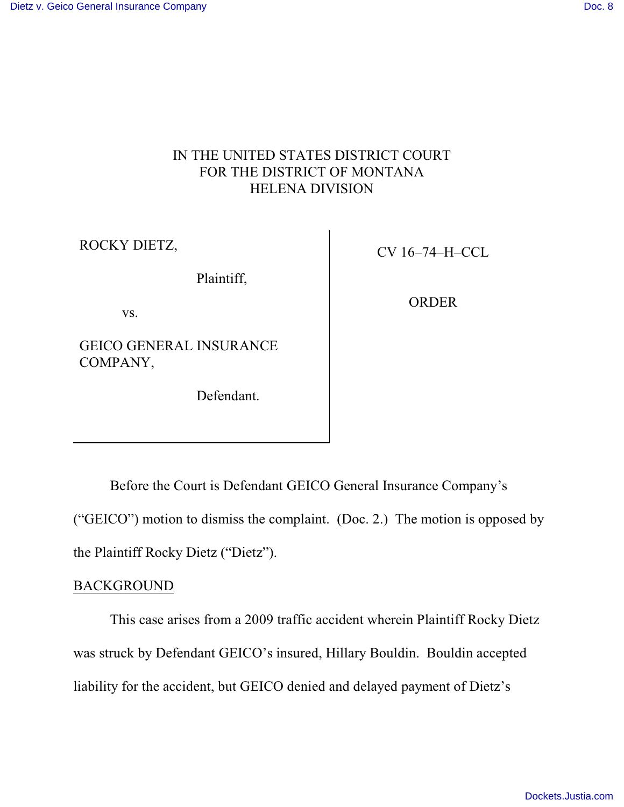## IN THE UNITED STATES DISTRICT COURT FOR THE DISTRICT OF MONTANA HELENA DIVISION

ROCKY DIETZ,

Plaintiff,

vs.

GEICO GENERAL INSURANCE COMPANY,

Defendant.

CV 16–74–H–CCL

ORDER

Before the Court is Defendant GEICO General Insurance Company's ("GEICO") motion to dismiss the complaint. (Doc. 2.) The motion is opposed by the Plaintiff Rocky Dietz ("Dietz").

## **BACKGROUND**

This case arises from a 2009 traffic accident wherein Plaintiff Rocky Dietz was struck by Defendant GEICO's insured, Hillary Bouldin. Bouldin accepted liability for the accident, but GEICO denied and delayed payment of Dietz's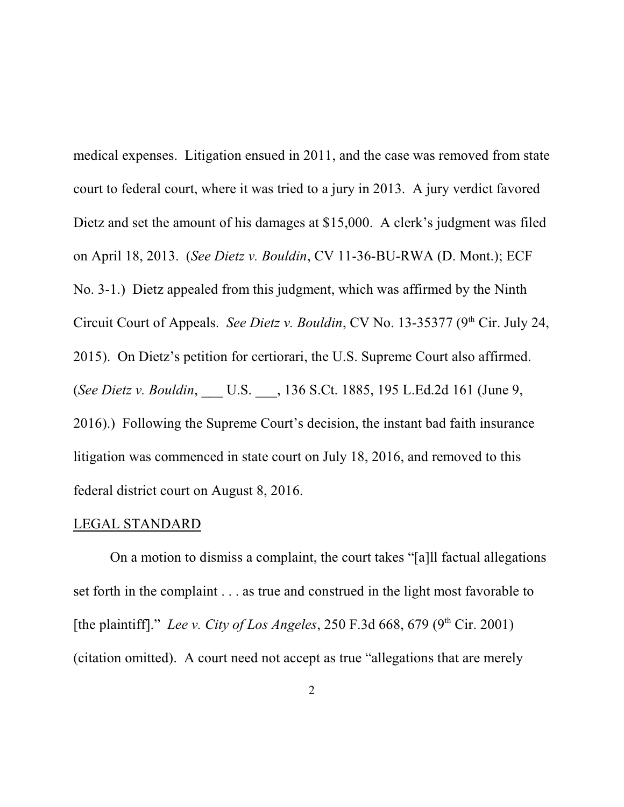medical expenses. Litigation ensued in 2011, and the case was removed from state court to federal court, where it was tried to a jury in 2013. A jury verdict favored Dietz and set the amount of his damages at \$15,000. A clerk's judgment was filed on April 18, 2013. (*See Dietz v. Bouldin*, CV 11-36-BU-RWA (D. Mont.); ECF No. 3-1.) Dietz appealed from this judgment, which was affirmed by the Ninth Circuit Court of Appeals. *See Dietz v. Bouldin*, CV No. 13-35377 (9<sup>th</sup> Cir. July 24, 2015). On Dietz's petition for certiorari, the U.S. Supreme Court also affirmed. (*See Dietz v. Bouldin*, \_\_\_ U.S. \_\_\_, 136 S.Ct. 1885, 195 L.Ed.2d 161 (June 9, 2016).) Following the Supreme Court's decision, the instant bad faith insurance litigation was commenced in state court on July 18, 2016, and removed to this federal district court on August 8, 2016.

## LEGAL STANDARD

On a motion to dismiss a complaint, the court takes "[a]ll factual allegations set forth in the complaint . . . as true and construed in the light most favorable to [the plaintiff]." Lee v. City of Los Angeles, 250 F.3d 668, 679 (9<sup>th</sup> Cir. 2001) (citation omitted). A court need not accept as true "allegations that are merely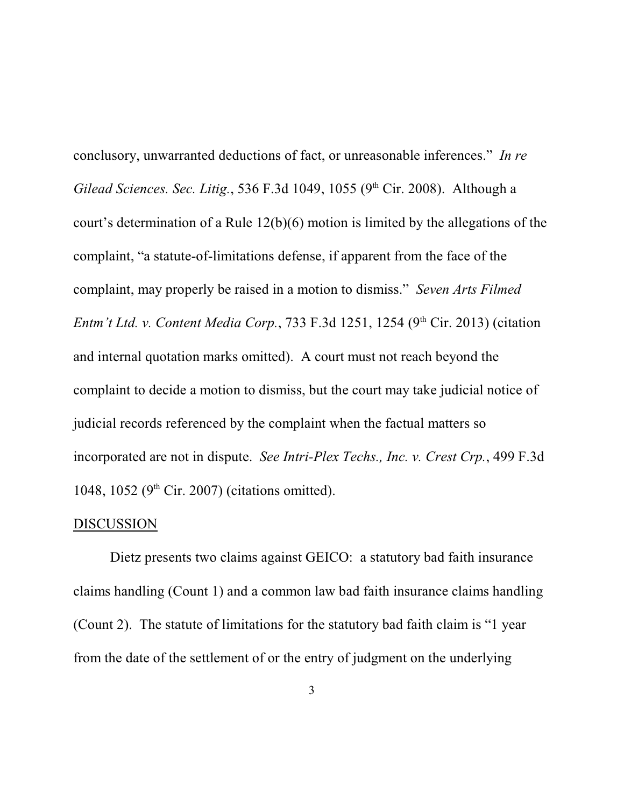conclusory, unwarranted deductions of fact, or unreasonable inferences." *In re Gilead Sciences. Sec. Litig.*, 536 F.3d 1049, 1055 (9<sup>th</sup> Cir. 2008). Although a court's determination of a Rule 12(b)(6) motion is limited by the allegations of the complaint, "a statute-of-limitations defense, if apparent from the face of the complaint, may properly be raised in a motion to dismiss." *Seven Arts Filmed Entm't Ltd. v. Content Media Corp.*, 733 F.3d 1251, 1254 (9<sup>th</sup> Cir. 2013) (citation and internal quotation marks omitted). A court must not reach beyond the complaint to decide a motion to dismiss, but the court may take judicial notice of judicial records referenced by the complaint when the factual matters so incorporated are not in dispute. *See Intri-Plex Techs., Inc. v. Crest Crp.*, 499 F.3d 1048, 1052 ( $9<sup>th</sup>$  Cir. 2007) (citations omitted).

## DISCUSSION

Dietz presents two claims against GEICO: a statutory bad faith insurance claims handling (Count 1) and a common law bad faith insurance claims handling (Count 2). The statute of limitations for the statutory bad faith claim is "1 year from the date of the settlement of or the entry of judgment on the underlying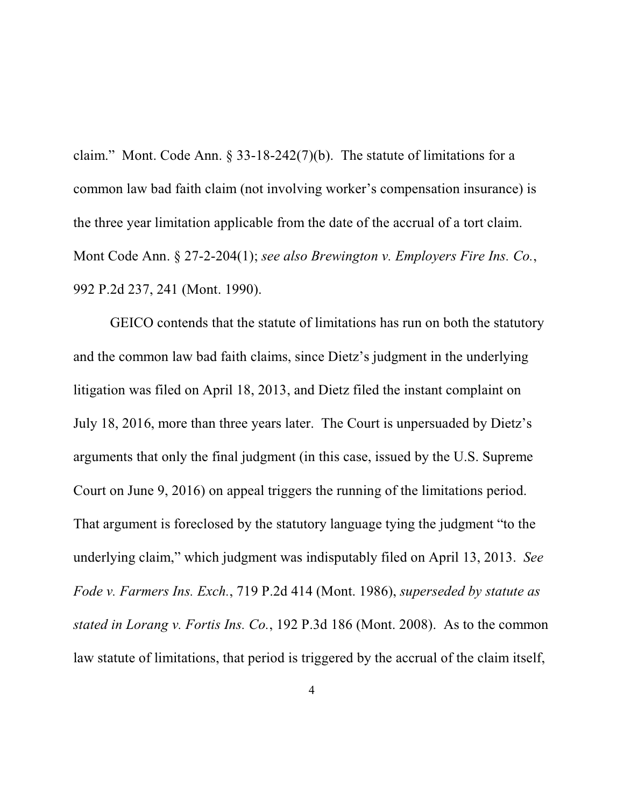claim." Mont. Code Ann. § 33-18-242(7)(b). The statute of limitations for a common law bad faith claim (not involving worker's compensation insurance) is the three year limitation applicable from the date of the accrual of a tort claim. Mont Code Ann. § 27-2-204(1); *see also Brewington v. Employers Fire Ins. Co.*, 992 P.2d 237, 241 (Mont. 1990).

GEICO contends that the statute of limitations has run on both the statutory and the common law bad faith claims, since Dietz's judgment in the underlying litigation was filed on April 18, 2013, and Dietz filed the instant complaint on July 18, 2016, more than three years later. The Court is unpersuaded by Dietz's arguments that only the final judgment (in this case, issued by the U.S. Supreme Court on June 9, 2016) on appeal triggers the running of the limitations period. That argument is foreclosed by the statutory language tying the judgment "to the underlying claim," which judgment was indisputably filed on April 13, 2013. *See Fode v. Farmers Ins. Exch.*, 719 P.2d 414 (Mont. 1986), *superseded by statute as stated in Lorang v. Fortis Ins. Co.*, 192 P.3d 186 (Mont. 2008). As to the common law statute of limitations, that period is triggered by the accrual of the claim itself,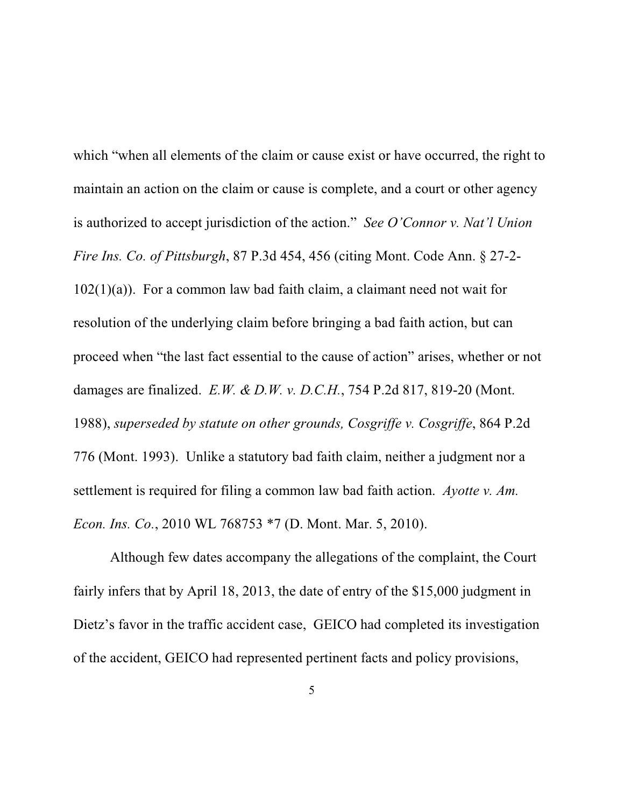which "when all elements of the claim or cause exist or have occurred, the right to maintain an action on the claim or cause is complete, and a court or other agency is authorized to accept jurisdiction of the action." *See O'Connor v. Nat'l Union Fire Ins. Co. of Pittsburgh*, 87 P.3d 454, 456 (citing Mont. Code Ann. § 27-2-  $102(1)(a)$ ). For a common law bad faith claim, a claimant need not wait for resolution of the underlying claim before bringing a bad faith action, but can proceed when "the last fact essential to the cause of action" arises, whether or not damages are finalized. *E.W. & D.W. v. D.C.H.*, 754 P.2d 817, 819-20 (Mont. 1988), *superseded by statute on other grounds, Cosgriffe v. Cosgriffe*, 864 P.2d 776 (Mont. 1993). Unlike a statutory bad faith claim, neither a judgment nor a settlement is required for filing a common law bad faith action. *Ayotte v. Am. Econ. Ins. Co.*, 2010 WL 768753 \*7 (D. Mont. Mar. 5, 2010).

Although few dates accompany the allegations of the complaint, the Court fairly infers that by April 18, 2013, the date of entry of the \$15,000 judgment in Dietz's favor in the traffic accident case, GEICO had completed its investigation of the accident, GEICO had represented pertinent facts and policy provisions,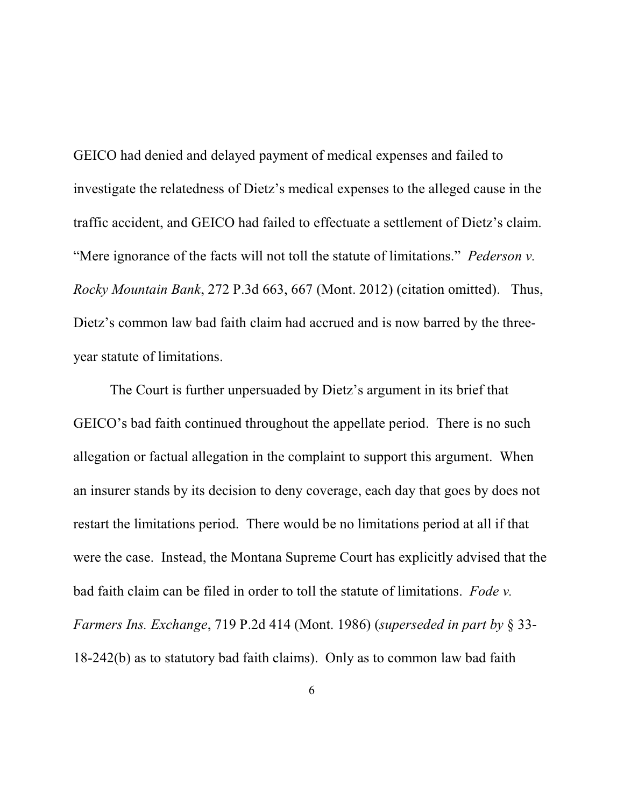GEICO had denied and delayed payment of medical expenses and failed to investigate the relatedness of Dietz's medical expenses to the alleged cause in the traffic accident, and GEICO had failed to effectuate a settlement of Dietz's claim. "Mere ignorance of the facts will not toll the statute of limitations." *Pederson v. Rocky Mountain Bank*, 272 P.3d 663, 667 (Mont. 2012) (citation omitted). Thus, Dietz's common law bad faith claim had accrued and is now barred by the threeyear statute of limitations.

The Court is further unpersuaded by Dietz's argument in its brief that GEICO's bad faith continued throughout the appellate period. There is no such allegation or factual allegation in the complaint to support this argument. When an insurer stands by its decision to deny coverage, each day that goes by does not restart the limitations period. There would be no limitations period at all if that were the case. Instead, the Montana Supreme Court has explicitly advised that the bad faith claim can be filed in order to toll the statute of limitations. *Fode v. Farmers Ins. Exchange*, 719 P.2d 414 (Mont. 1986) (*superseded in part by* § 33- 18-242(b) as to statutory bad faith claims). Only as to common law bad faith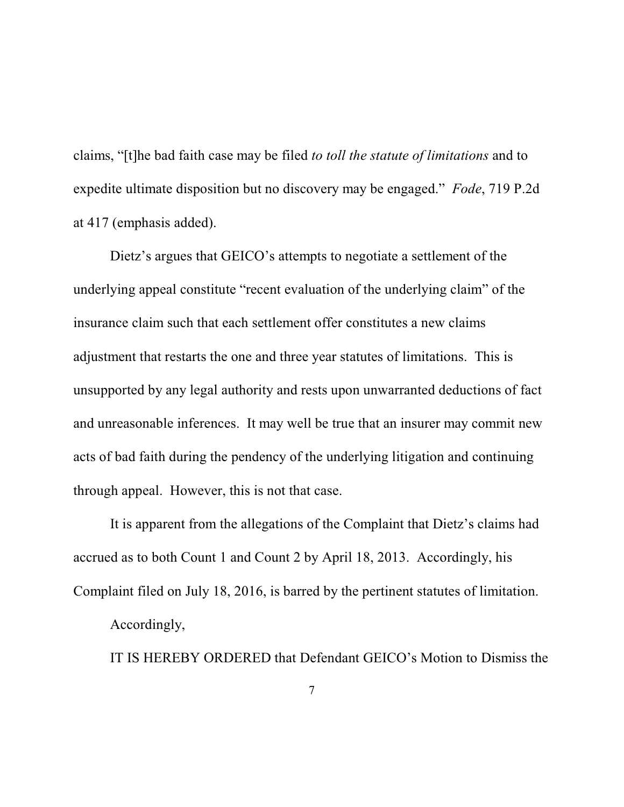claims, "[t]he bad faith case may be filed *to toll the statute of limitations* and to expedite ultimate disposition but no discovery may be engaged." *Fode*, 719 P.2d at 417 (emphasis added).

Dietz's argues that GEICO's attempts to negotiate a settlement of the underlying appeal constitute "recent evaluation of the underlying claim" of the insurance claim such that each settlement offer constitutes a new claims adjustment that restarts the one and three year statutes of limitations. This is unsupported by any legal authority and rests upon unwarranted deductions of fact and unreasonable inferences. It may well be true that an insurer may commit new acts of bad faith during the pendency of the underlying litigation and continuing through appeal. However, this is not that case.

It is apparent from the allegations of the Complaint that Dietz's claims had accrued as to both Count 1 and Count 2 by April 18, 2013. Accordingly, his Complaint filed on July 18, 2016, is barred by the pertinent statutes of limitation.

Accordingly,

IT IS HEREBY ORDERED that Defendant GEICO's Motion to Dismiss the